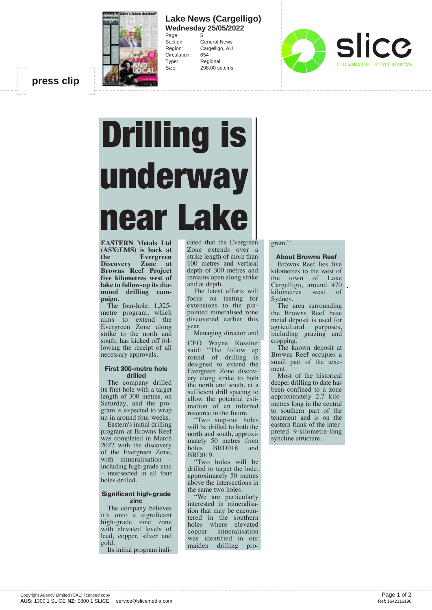

## **Lake News (Cargelligo) Wednesday 25/05/2022** Page:<br>Section:

General News Region: Cargelligo, AU Circulation: 654 Type: Regional Size: 298.00 sq.cms.



**press clip**

# Drilling is underway lear La

**EASTERN Metals Ltd (ASX:EMS) is back at the Evergreen<br>Discovery Zone at Zone** at **Browns Reef Project five kilometres west of lake to follow-up its diamond drilling campaign.**

The four-hole, 1,325 metre program, which aims to extend the Evergreen Zone along strike to the north and south, has kicked off following the receipt of all necessary approvals.

### **First 300-metre hole drilled**

The company drilled its first hole with a target length of 300 metres, on Saturday, and the program is expected to wrap up in around four weeks.

Eastern's initial drilling program at Browns Reef was completed in March 2022 with the discovery of the Evergreen Zone, with mineralisation including high-grade zinc – intersected in all four holes drilled.

### **Significant high-grade zinc**

The company believes it's onto a significant high-grade zinc zone with elevated levels of lead, copper, silver and gold.

Its initial program indi-

cated that the Evergreen Zone extends over a strike length of more than 100 metres and vertical depth of 300 metres and remains open along strike and at depth.

The latest efforts will focus on testing for extensions to the pinpointed mineralised zone discovered earlier this year.

Managing director and

CEO Wayne Rossiter said: "The follow up round of drilling is designed to extend the Evergreen Zone discovery along strike to both the north and south, at a sufficient drill spacing to allow the potential estimation of an inferred resource in the future.

"Two step-out holes will be drilled to both the north and south, approximately 50 metres from holes BRD018 and BRD019.

"Two holes will be drilled to target the lode, approximately 50 metres above the intersections in the same two holes.

"We are particularly interested in mineralisation that may be encountered in the southern holes where elevated copper mineralisation was identified in our maiden drilling pro-

### gram."

**About Browns Reef**  Browns Reef lies five kilometres to the west of the town of Lake Cargelligo, around 470 kilometres west of Sydney.

The area surrounding the Browns Reef base metal deposit is used for agricultural purposes, including grazing and cropping.

The known deposit at Browns Reef occupies a small part of the tenement.

Most of the historical deeper drilling to date has been confined to a zone approximately 2.7 kilometres long in the central to southern part of the tenement and is on the eastern flank of the interpreted 9-kilometre-long syncline structure.